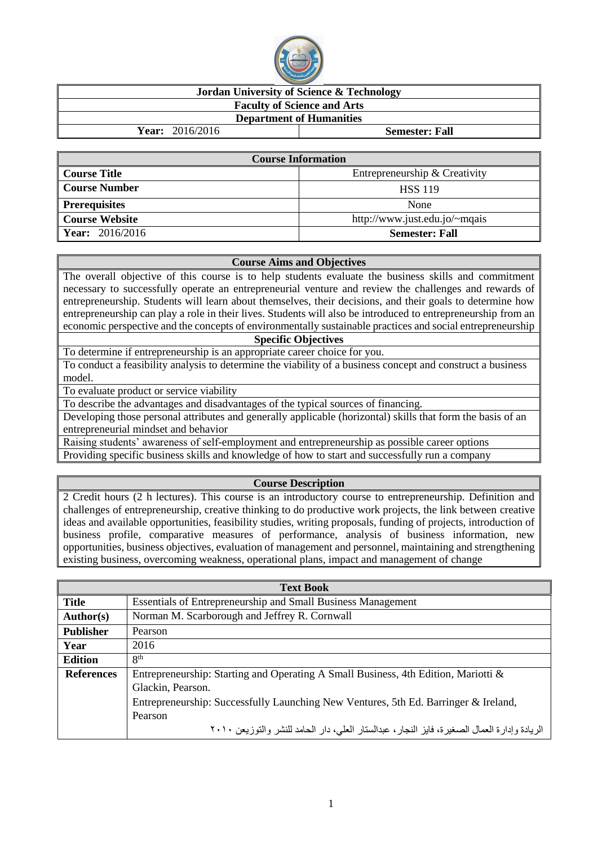

# **Jordan University of Science & Technology**

### **Faculty of Science and Arts Department of Humanities**

**Year:** 2016/2016 **Semester: Fall**

| <b>Course Information</b> |                               |  |  |  |
|---------------------------|-------------------------------|--|--|--|
| Course Title              | Entrepreneurship & Creativity |  |  |  |
| <b>Course Number</b>      | <b>HSS 119</b>                |  |  |  |
| <b>Prerequisites</b>      | None                          |  |  |  |
| <b>Course Website</b>     | http://www.just.edu.jo/~mqais |  |  |  |
| Year: 2016/2016           | <b>Semester: Fall</b>         |  |  |  |

#### **Course Aims and Objectives**

The overall objective of this course is to help students evaluate the business skills and commitment necessary to successfully operate an entrepreneurial venture and review the challenges and rewards of entrepreneurship. Students will learn about themselves, their decisions, and their goals to determine how entrepreneurship can play a role in their lives. Students will also be introduced to entrepreneurship from an economic perspective and the concepts of environmentally sustainable practices and social entrepreneurship

#### **Specific Objectives**

To determine if entrepreneurship is an appropriate career choice for you.

To conduct a feasibility analysis to determine the viability of a business concept and construct a business model.

To evaluate product or service viability

To describe the advantages and disadvantages of the typical sources of financing.

Developing those personal attributes and generally applicable (horizontal) skills that form the basis of an entrepreneurial mindset and behavior

Raising students' awareness of self-employment and entrepreneurship as possible career options Providing specific business skills and knowledge of how to start and successfully run a company

## **Course Description**

2 Credit hours (2 h lectures). This course is an introductory course to entrepreneurship. Definition and challenges of entrepreneurship, creative thinking to do productive work projects, the link between creative ideas and available opportunities, feasibility studies, writing proposals, funding of projects, introduction of business profile, comparative measures of performance, analysis of business information, new opportunities, business objectives, evaluation of management and personnel, maintaining and strengthening existing business, overcoming weakness, operational plans, impact and management of change

|                   | <b>Text Book</b>                                                                             |  |  |  |  |
|-------------------|----------------------------------------------------------------------------------------------|--|--|--|--|
| <b>Title</b>      | <b>Essentials of Entrepreneurship and Small Business Management</b>                          |  |  |  |  |
| <b>Author(s)</b>  | Norman M. Scarborough and Jeffrey R. Cornwall                                                |  |  |  |  |
| <b>Publisher</b>  | Pearson                                                                                      |  |  |  |  |
| Year              | 2016                                                                                         |  |  |  |  |
| <b>Edition</b>    | 8 <sup>th</sup>                                                                              |  |  |  |  |
| <b>References</b> | Entrepreneurship: Starting and Operating A Small Business, 4th Edition, Mariotti &           |  |  |  |  |
|                   | Glackin, Pearson.                                                                            |  |  |  |  |
|                   | Entrepreneurship: Successfully Launching New Ventures, 5th Ed. Barringer & Ireland,          |  |  |  |  |
|                   | Pearson                                                                                      |  |  |  |  |
|                   | الريادة وإدارة العمال الصغيرة، فايز النجار، عبدالستار العلي، دار الحامد للنشر والتوزيعن ٢٠١٠ |  |  |  |  |